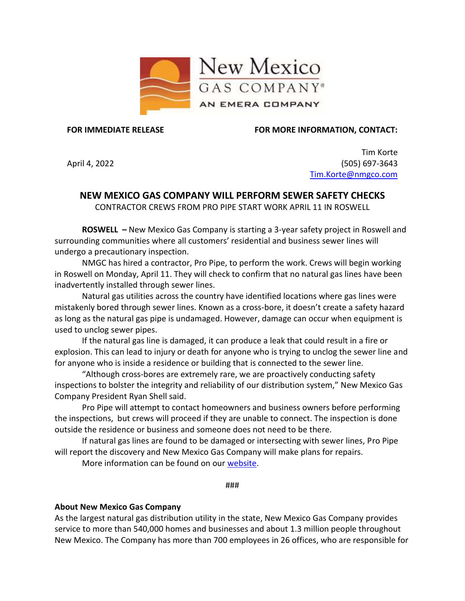

**FOR IMMEDIATE RELEASE**

**FOR MORE INFORMATION, CONTACT:**

April 4, 2022

Tim Korte (505) 697-3643 [Tim.Korte@nmgco.com](mailto:Tim.Korte@nmgco.com)

## **NEW MEXICO GAS COMPANY WILL PERFORM SEWER SAFETY CHECKS**

CONTRACTOR CREWS FROM PRO PIPE START WORK APRIL 11 IN ROSWELL

**ROSWELL –** New Mexico Gas Company is starting a 3-year safety project in Roswell and surrounding communities where all customers' residential and business sewer lines will undergo a precautionary inspection.

NMGC has hired a contractor, Pro Pipe, to perform the work. Crews will begin working in Roswell on Monday, April 11. They will check to confirm that no natural gas lines have been inadvertently installed through sewer lines.

Natural gas utilities across the country have identified locations where gas lines were mistakenly bored through sewer lines. Known as a cross-bore, it doesn't create a safety hazard as long as the natural gas pipe is undamaged. However, damage can occur when equipment is used to unclog sewer pipes.

If the natural gas line is damaged, it can produce a leak that could result in a fire or explosion. This can lead to injury or death for anyone who is trying to unclog the sewer line and for anyone who is inside a residence or building that is connected to the sewer line.

"Although cross-bores are extremely rare, we are proactively conducting safety inspections to bolster the integrity and reliability of our distribution system," New Mexico Gas Company President Ryan Shell said.

Pro Pipe will attempt to contact homeowners and business owners before performing the inspections, but crews will proceed if they are unable to connect. The inspection is done outside the residence or business and someone does not need to be there.

If natural gas lines are found to be damaged or intersecting with sewer lines, Pro Pipe will report the discovery and New Mexico Gas Company will make plans for repairs.

More information can be found on our [website.](https://www.nmgco.com/en/Sewer_Work_Safeguards)

###

## **About New Mexico Gas Company**

As the largest natural gas distribution utility in the state, New Mexico Gas Company provides service to more than 540,000 homes and businesses and about 1.3 million people throughout New Mexico. The Company has more than 700 employees in 26 offices, who are responsible for